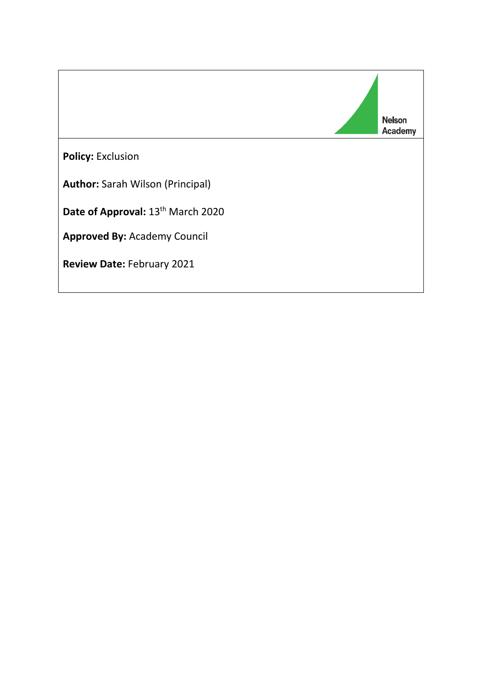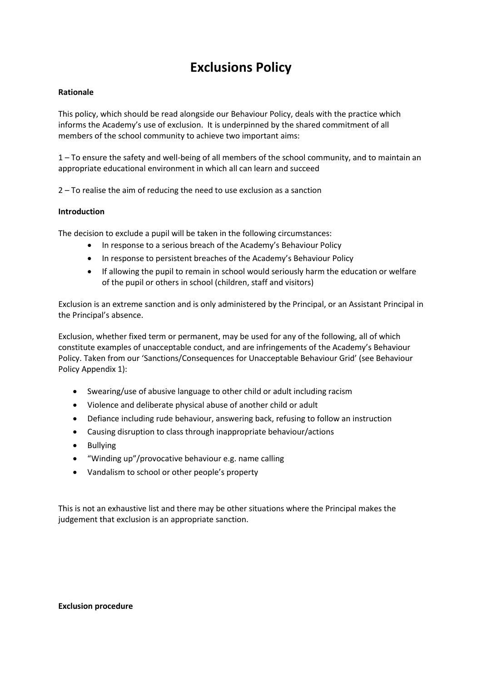# **Exclusions Policy**

## **Rationale**

This policy, which should be read alongside our Behaviour Policy, deals with the practice which informs the Academy's use of exclusion. It is underpinned by the shared commitment of all members of the school community to achieve two important aims:

1 – To ensure the safety and well-being of all members of the school community, and to maintain an appropriate educational environment in which all can learn and succeed

2 – To realise the aim of reducing the need to use exclusion as a sanction

## **Introduction**

The decision to exclude a pupil will be taken in the following circumstances:

- In response to a serious breach of the Academy's Behaviour Policy
- In response to persistent breaches of the Academy's Behaviour Policy
- If allowing the pupil to remain in school would seriously harm the education or welfare of the pupil or others in school (children, staff and visitors)

Exclusion is an extreme sanction and is only administered by the Principal, or an Assistant Principal in the Principal's absence.

Exclusion, whether fixed term or permanent, may be used for any of the following, all of which constitute examples of unacceptable conduct, and are infringements of the Academy's Behaviour Policy. Taken from our 'Sanctions/Consequences for Unacceptable Behaviour Grid' (see Behaviour Policy Appendix 1):

- Swearing/use of abusive language to other child or adult including racism
- Violence and deliberate physical abuse of another child or adult
- Defiance including rude behaviour, answering back, refusing to follow an instruction
- Causing disruption to class through inappropriate behaviour/actions
- Bullying
- "Winding up"/provocative behaviour e.g. name calling
- Vandalism to school or other people's property

This is not an exhaustive list and there may be other situations where the Principal makes the judgement that exclusion is an appropriate sanction.

#### **Exclusion procedure**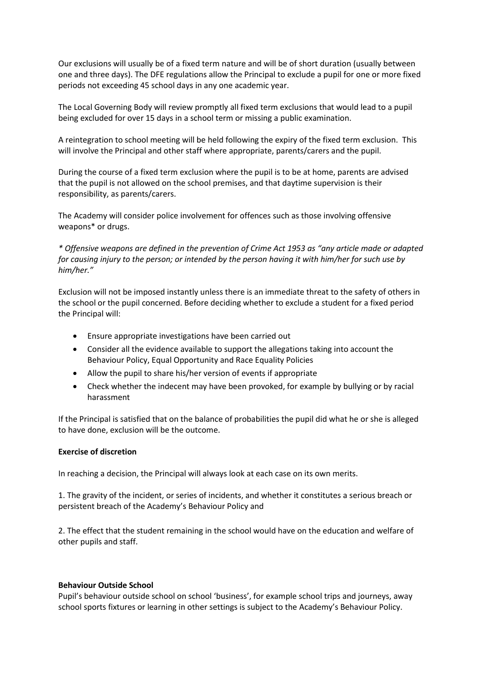Our exclusions will usually be of a fixed term nature and will be of short duration (usually between one and three days). The DFE regulations allow the Principal to exclude a pupil for one or more fixed periods not exceeding 45 school days in any one academic year.

The Local Governing Body will review promptly all fixed term exclusions that would lead to a pupil being excluded for over 15 days in a school term or missing a public examination.

A reintegration to school meeting will be held following the expiry of the fixed term exclusion. This will involve the Principal and other staff where appropriate, parents/carers and the pupil.

During the course of a fixed term exclusion where the pupil is to be at home, parents are advised that the pupil is not allowed on the school premises, and that daytime supervision is their responsibility, as parents/carers.

The Academy will consider police involvement for offences such as those involving offensive weapons\* or drugs.

*\* Offensive weapons are defined in the prevention of Crime Act 1953 as "any article made or adapted for causing injury to the person; or intended by the person having it with him/her for such use by him/her."* 

Exclusion will not be imposed instantly unless there is an immediate threat to the safety of others in the school or the pupil concerned. Before deciding whether to exclude a student for a fixed period the Principal will:

- Ensure appropriate investigations have been carried out
- Consider all the evidence available to support the allegations taking into account the Behaviour Policy, Equal Opportunity and Race Equality Policies
- Allow the pupil to share his/her version of events if appropriate
- Check whether the indecent may have been provoked, for example by bullying or by racial harassment

If the Principal is satisfied that on the balance of probabilities the pupil did what he or she is alleged to have done, exclusion will be the outcome.

## **Exercise of discretion**

In reaching a decision, the Principal will always look at each case on its own merits.

1. The gravity of the incident, or series of incidents, and whether it constitutes a serious breach or persistent breach of the Academy's Behaviour Policy and

2. The effect that the student remaining in the school would have on the education and welfare of other pupils and staff.

## **Behaviour Outside School**

Pupil's behaviour outside school on school 'business', for example school trips and journeys, away school sports fixtures or learning in other settings is subject to the Academy's Behaviour Policy.